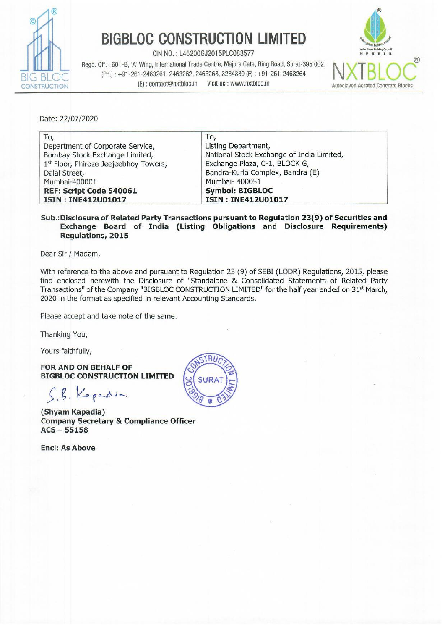

Regd. Off. : 601-B. 'A' Wing, International Trade Centre, Majura Gate, Ring Road, Surat-395 002. **N. INTERNATION**  $\overline{AB}$  BIOC (Ph.): +91-261-2463261, 2463262, 2463263, 3234330 (F): +91-261-2463264 CONSTRUCTION (E): contact@nxtbloc.in Visit us : www.nxtbloc.in Autoclaved Aerated Concrete Blocks **BIGBLOC CONSTRU**<br>
Regd. Off. : 601-B, 'A' Wing, International Trade Cer<br>
BLOC (Ph.) : +91-261-2463261, 2463262, 246326<br>
(E) : contact@nxtbloc.in Vist



| <b>RUCTION</b>                        | (E): contact@nxtbloc.in                                                                                                                                             | <b>BIGBLOC CONSTRUCTION LIMITED</b><br>CIN NO.: L45200GJ2015PLC083577<br>Regd. Off.: 601-B, 'A' Wing, International Trade Centre, Majura Gate, Ring Road, Surat-395 002.<br>(Ph.): +91-261-2463261, 2463262, 2463263, 3234330 (F): +91-261-2463264<br>Visit us : www.nxtbloc.in | <b>Autoclaved Aerated Cor</b> |
|---------------------------------------|---------------------------------------------------------------------------------------------------------------------------------------------------------------------|---------------------------------------------------------------------------------------------------------------------------------------------------------------------------------------------------------------------------------------------------------------------------------|-------------------------------|
| Date: 22/07/2020                      |                                                                                                                                                                     |                                                                                                                                                                                                                                                                                 |                               |
| To,<br>Dalal Street,<br>Mumbai-400001 | Department of Corporate Service,<br>Bombay Stock Exchange Limited,<br>1st Floor, Phiroze Jeejeebhoy Towers,<br>REF: Script Code 540061<br><b>ISIN: INE412U01017</b> | To,<br>Listing Department,<br>National Stock Exchange of India Limited,<br>Exchange Plaza, C-1, BLOCK G,<br>Bandra-Kurla Complex, Bandra (E)<br>Mumbai- 400051<br><b>Symbol: BIGBLOC</b><br><b>ISIN: INE412U01017</b>                                                           |                               |

#### Sub.:Disclosure of Related Party Transactions pursuant to Regulation 23(9) of Securities and Exchange Board of India (Listing Obligations and Disclosure Requirements) Regulations, 2015

Dear Sir / Madam,

With reference to the above and pursuant to Regulation 23 (9) of SEBI (LODR) Regulations, 2015, please find enclosed herewith the Disclosure of "Standalone & Consolidated Statements of Related Party Transactions" of the Company "BIGBLOC CONSTRUCTION LIMITED" for the half year ended on 31% March, 2020 in the format as specified in relevant Accounting Standards.

Please accept and take note of the same.

Thanking You,

Yours faithfully,

FOR AND ON BEHALF OF **BIGBLOC CONSTRUCTION LIMITED** 

C8, Kapedun

(Shyam Kapadia) Company Secretary & Compliance Officer  $ACS - 55158$ 

Encl: As Above

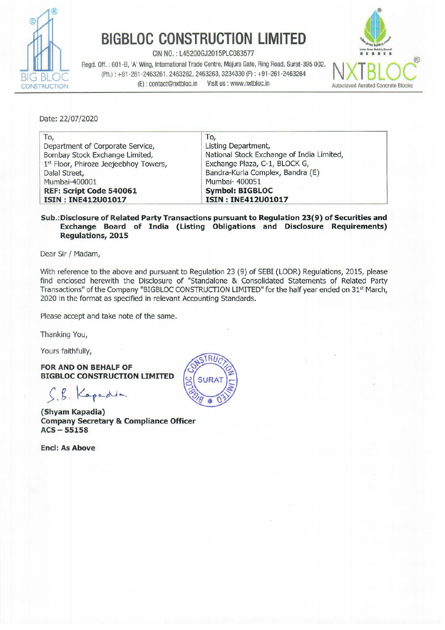

CIN NO. : L45200GJ2015PLC083577 Regd. Off. : 601-B, 'A' Wing, International Trade Centre, Majura Gate, Ring Road, Surat-395 002. (Ph.) : +91-261-2463261, 2463262, 2463263, 3234330 (F) : +91-261-2463264<br>
(E) : contact@nxtbloc.in Visit us : www.nxtbloc.in CONSTRUCTION (E): contact@nxtbloc.in **BIGBLOC CONSTRUC**<br>
CIN NO.: L45200GJ2015PI<br>
Regd. Off.: 601-B, 'A' Wing, International Trade Centre, N<br>
(Ph.): +91-261-2463261, 2463262, 2463263, 32<br>
(E): contact@nxtbloc.in Visit us<br>
SCLOSURE OF STANDALONE RELATED PARTY



## DISCLOSURE OF STANDALONE RELATED PARTY TRANSACTIONS:

## A. Name of Related Parties & Nature of Relationships

#### a) Subsidiary Company

1. Starbigbloc Building Material Private Limited

## b) Enterprises Controlled by Key Managerial Personnel & their relatives

\_\_\_\_\_\_\_\_\_

- 
- 1 Mohit Industries Limited 4 Mohit Texport Private Limited
- 2 Soul Clothing Private Limited 5 Mask Investments Limited
	-
- 3 Mohit Exim Private Limited

## c) Key Managerial Personnel

- 1 Naresh S. Saboo 3 Manish N. Saboo
- 2 Narayan S. Saboo 4 Mohit N. Saboo

# B. Transactions with Related Parties (Amount in Rs.)

# **BIGBLOC CONSTRUCE**<br>
Regd. Off. : 601-B, 'A' Win, International Trade Centre, N.<br>
(Ph.) : +91-261-2463261, 2463262, 2463263, 32<br>
(E) : contact@ntxtbloc.in Visit us<br>
SCLOSURE OF STANDALONE RELATED PARTY TRA<br>
Name of Related **BIGBLOC CONSTRUCT**<br>
Regd. Off. : 601-B, 'A' Wing, International Trade Centre, M<br>
(Ph.) : +91-261-2463261, 2463262, 2463263, 3463262, 2463263, 3463262, 2463263, 3463262, 2463263, 3463262, 2463263, 3463262, 2463263, 3463262 **BIGBLOC CONSTRUC**<br>
Regd. Off. : 601-B, *N* Wing, International Trade Centre, N<br>
(Ph.) : +91-261-2463261, 2463262, 2463263, 34<br>
RUCTION<br> **SCLOSURE OF STANDALONE RELATED PARTY TRA**<br> **Name of Related Parties & Nature of Rela BIGBLOC CONSTRUC**<br>
Regd. Of:.:601-B, *N* Wing, International Trade Centre, N<br>
(Ph.):+91-261-2463261, 2463262, 2463263, 32<br>
(C):contact@nxtbloc.in Visitus<br>
SCLOSURE OF STANDALONE RELATED PARTY TRA<br>
Name of Related Parties **BIGBLOC CONSTRUC**<br>
Regd. Off. : 601-B, AV Wing, International Trade Centre, N<br>
(Ph.) : +91-261-2463261, 2463262, 2463263, 32<br>
(C): contact@nxtbloc.in Visit us<br>
SCLOSURE OF STANDALONE RELATED PARTY TRA<br>
Name of Related Par **BIGBLOC CONSTRUCT**<br> **BIGBLOC CONSTRUCT**<br>
Regd. Off. : 601-B, 'A' Wing, International Trade Centre, M<br>
(Ph.): +91-261-2463261, 2463262, 2463263, 34<br>
Rame of Related Parties & Nature of Relationship<br> **SCLOSURE OF STANDALONE BIGBLOC CONSTRUC**<br>
CIN NO.:145200612015PL<br>
Regd. Off. :601-B. 'A' Wing, International Trade Centre, M<br>
(Ph.): +91-261-2463261, 2463262, 2463263, 32<br>
RUCTION<br> **SCLOSURE OF STANDALONE RELATED PARTY TRE**<br> **Name of Related Pa BIGBLOC CONSTRUCT**<br>
CIN NO.: L452006J2015PL<br>
CIN NO.: L452006J2015PL<br>
CIN NO.: L452006J2015PL<br>
(Ph.): +91-281-2483261, 2463262, 2463262, 2483263, 32<br>
NOCLOSURE OF STANDALONE RELATED PARTY TRA<br>
Name of Related Parties & Na **BIGBLOC CONSTRUCT**<br>
CIN NO.: L452006J2015PL<br>
Regd. Off. : 601-B, 'A' Wing, International Trade Centre, M<br>
(Ph.): +91-261-2463261, 2463262, 2463263, 32<br>
RUCTION<br>
SCLOSURE OF STANDALONE RELATED PARTY TRA<br>
Name of Related Pa **BIUBLUU UUNSTRUU**<br>
Regd. Off.: 601-B, 'A' Wing, International Trade Cente, M<br>
(Ph.): +91-281-2463261, 2463262, 2463262, 2463263, 32<br>
SCLOSURE OF STANDALONE RELATED PARTY TRA<br>
Name of Related Parties & Nature of Relationsh CIN NO.: L45200GJ2015PL<br>
Regd. Off.: 601-B, 'A Wing, International Trade Cortre, M<br>
(Ph.): +91-261-2463261, 2463262, 2463262, 2463263, 32<br>
El: contact@nxtbloc.in Visitus:<br>
CELOSURE OF STANDALONE RELATED PARTY TRA<br>
Name of Regd. Off. : 601-B, A Wing, International Trade Centre, M<br>
Regd. Off. : 601-B, A Wing, International Trade Centre, M<br>
(Ph.): +91-261-2463261, 2463262, 2463263, 32<br>
(E): contact@nxtbloc.in Visit us:<br>
SCLOSURE OF STANDALONE VUCTION<br>
SCLOSURE OF STANDALONE RELATED PARTY TRA<br>
Name of Related Parties & Nature of Relationshi<br>
a) Subsidiary Company<br>
1 Starbigbloc Building Material Private Limited<br>
b) Enterprises Controlled by Key Managerial Pe<br>
1 SCLOSURE OF STANDALONE RELATED PARTY TRA<br>
Name of Related Parties & Nature of Relationshi<br>
a) Subsidiary Company<br>
1 Starbigbloc Building Material Private Limited<br>
b) Enterprises Controlled by Key Managerial Pe<br>
1 Mohit Ind SCLOSURE OF STANDALONE RELATED PARTY TRA<br>
Name of Related Parties & Nature of Relationshi<br>
a) Subsidiary Company<br>
1 Starbigbloc Building Material Private Limited<br>
1 Mohit Industries Limited 4 Mo<br>
2 Soul Clothing Private Li Mame of Related Parties & Nature of Relationshi<br>
a) Subsidiary Company<br>
1 Starbigbloc Building Material Private Limited<br>
1 Mohit Industries Limited<br>
1 Mohit Industries Limited<br>
2 Soul Clothing Private Limited<br>
2 Soul Cloth Name of Related Parties & Nature of Relationshi<br>
a) Subsidiary Company<br>
1 Starbigbloc Building Material Private Limited<br>
b) Enterprises Controlled by Key Managerial Pe<br>
1 Mohit Industries Limited<br>
2 Soul Clothing Private L Particulars Subsidiary Enterprises Controlled Key Managerial<br>by Key Management Personnel & Their by Key Management personnel Relatives Transactions during the year a) Loans Taken ea 12 an - 46034574 62631176 b) Repayment of loan taken = 47000716 19718486 c) Interest paid  $-$  273887  $$ d) Interest Received 6492097 = 6492097 e) Sales of Goods 2534675 + cade 2534675 + can call the case of Goods + can call the category of the category of the category of the category of the category of the category of the category of the category of the category f) Salary Paid **Figure 2800000** g) Loans given se = = h) Purchase of Goods 49710358 2 and 2010 and 2010 and 2010 and 2010 and 2010 and 2010 and 2010 and 2010 and 20 i) Commission Paid centre 384279 commission Paid a) **Subsidiary Company**<br>
1 Starbigbloc Building Material Private Limited<br>
b) **Enterprises Controlled by Key Managerial Pe**<br>
1 Mohit Industries Limited 4 Mo<br>
2 Soul Clothing Private Limited 5 Ma<br>
3 Mohit Exim Private Limite

| <b>Particulars</b>             | <b>Subsidiary</b><br><b>Associates</b> | <b>Enterprises Controlled by Key</b><br><b>Management personnel</b> | <b>Key Managerial</b><br><b>Personnel &amp; Their</b><br><b>Relatives</b> |  |
|--------------------------------|----------------------------------------|---------------------------------------------------------------------|---------------------------------------------------------------------------|--|
| <b>Balances as at Year end</b> |                                        |                                                                     |                                                                           |  |
| a) Trade Payable               | 6557029                                | 365065                                                              | 2300000                                                                   |  |
| b) Trade Receivable            | --                                     | $\qquad \qquad \cdots$                                              |                                                                           |  |
| c) Advance Given               | 14895207                               | $-1$                                                                | --                                                                        |  |
| d) Loans Given                 | 114044501                              | $- -$                                                               | $- -$                                                                     |  |
| e) Unsecured Loans             |                                        | 241419                                                              | 47439708                                                                  |  |

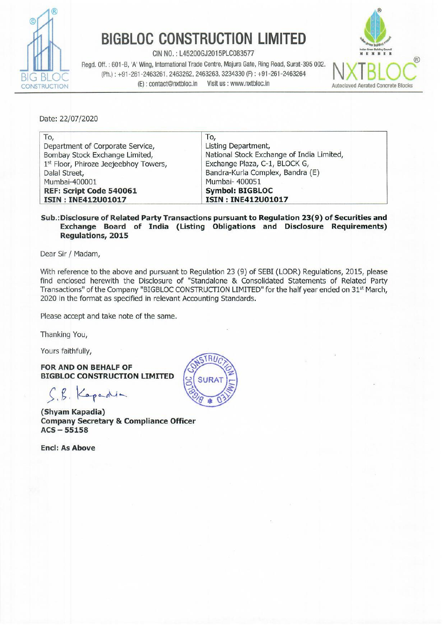

**BIGBLOC CONSTRU**<br>
Regd. Off. : 601-B, 'A' Wing, International Trade Cent<br>
(Ph.) : +91-261-2463261, 2463262, 2463262<br>
(E) : contact@nxtbloc.in Visi CIN NO. : L45200GJ2015PLC063577<br>Regd. Off. : 601-B, 'A' Wing, International Trade Centre, Majura Gate, Ring Road, Surat-395 002. NIVTDIO BIG BLOC (Ph.) : +91-261-2463261, 2463262, 2463263, 3234330 (F) : +91-261-2463264<br>(E) : contact@nxtbloc.in Visit us : www.nxtbloc.in CONSTRUCTION (E): contact@nxtbloc.in Visit us : www.nxtbloc.in Autoclaved Aerated Concrete Blocks



| Regd. Off.: 601-B, 'A' Wing, International Trade Centre, Majura Gate, Ring Road, Surat-395 002.<br>(Ph.): +91-261-2463261, 2463262, 2463263, 3234330 (F): +91-261-2463264 |                                |                                                                              |                                                                                                             |
|---------------------------------------------------------------------------------------------------------------------------------------------------------------------------|--------------------------------|------------------------------------------------------------------------------|-------------------------------------------------------------------------------------------------------------|
| (E): contact@nxtbloc.in<br><i><b>ISTRUCTION</b></i><br>Disclosure in respect of Material Related party transaction<br>$\underline{\mathbf{C}}$ .                          | Visit us : www.nxtbloc.in      |                                                                              | <b>Autoclaved Aerated Concre</b><br>(Amount in Rs.)                                                         |
| during the year<br><b>Particulars</b>                                                                                                                                     | <b>Subsidiary</b><br>Company   | <b>Enterprises</b><br><b>Controlled by</b><br>Key<br>Management<br>personnel | Key<br><b>Management</b><br>Personnel &<br><b>Relatives of Key</b><br><b>Management</b><br><b>Personnel</b> |
| (a) Loans Taken                                                                                                                                                           |                                |                                                                              |                                                                                                             |
| -- Mohit Industries Limited                                                                                                                                               | ۰                              | 46,034,574                                                                   |                                                                                                             |
| -- Manish Saboo                                                                                                                                                           |                                |                                                                              | 14,750,000                                                                                                  |
| -- Mohit Saboo                                                                                                                                                            | $\frac{1}{2}$                  |                                                                              | 2,022,000                                                                                                   |
| -- Narayan Saboo                                                                                                                                                          |                                |                                                                              | 22,999,176                                                                                                  |
| -- Naresh Saboo                                                                                                                                                           | ۷                              |                                                                              | 22,860,000                                                                                                  |
| (b) Repayment of Loans Taken                                                                                                                                              |                                |                                                                              |                                                                                                             |
| -- Mohit Industries Limited                                                                                                                                               | $\overline{\phantom{a}}$       | 47,000,716                                                                   | ÷                                                                                                           |
| -- Manish Saboo<br>-- Mohit Saboo                                                                                                                                         |                                |                                                                              | 2,300,000<br>1,012,000                                                                                      |
| -- Narayan Saboo                                                                                                                                                          |                                |                                                                              | 13,006,486                                                                                                  |
| -- Naresh Saboo                                                                                                                                                           |                                |                                                                              | 3,400,000                                                                                                   |
| (c) Interest Paid                                                                                                                                                         |                                |                                                                              |                                                                                                             |
| -- Mohit Industries Limited                                                                                                                                               |                                | 273,887                                                                      |                                                                                                             |
| (d) Interest Received<br>-- Starbigbloc Building Material Pvt. Ltd.                                                                                                       | 6,492,097                      |                                                                              |                                                                                                             |
|                                                                                                                                                                           |                                |                                                                              |                                                                                                             |
|                                                                                                                                                                           | 2,534,675                      | ÷                                                                            |                                                                                                             |
|                                                                                                                                                                           |                                |                                                                              |                                                                                                             |
|                                                                                                                                                                           |                                |                                                                              |                                                                                                             |
| (e) Sales of Goods<br>-- Starbigbloc Building Material Pvt. Ltd.<br>(f) Purchase of Goods                                                                                 |                                |                                                                              |                                                                                                             |
| -- Starbigbloc Building Material Pvt. Ltd.                                                                                                                                | 49,710,358                     |                                                                              |                                                                                                             |
| -- Mask Investments Limited                                                                                                                                               |                                | 384,279                                                                      |                                                                                                             |
| (g) Commission Paid<br>(h) Salary Paid                                                                                                                                    |                                |                                                                              |                                                                                                             |
| -- Mohit Saboo                                                                                                                                                            |                                |                                                                              | 200,000                                                                                                     |
| -- Manish Saboo                                                                                                                                                           | ٠                              | $\qquad \qquad \blacksquare$                                                 | 200,000                                                                                                     |
| -- Naresh Saboo                                                                                                                                                           | ÷.                             |                                                                              | 200,000                                                                                                     |
| -- Madhu Saboo                                                                                                                                                            |                                |                                                                              | 500,000                                                                                                     |
| -- Simmi Saboo                                                                                                                                                            | $\overline{\phantom{a}}$       | $\overline{\phantom{a}}$<br>⋍                                                | 500,000                                                                                                     |
| -- Sitaram Saboo                                                                                                                                                          | -                              |                                                                              | 500,000                                                                                                     |
| -- Sonia Saboo<br>-- Narayan Saboo                                                                                                                                        | $\overline{\phantom{a}}$<br>ù, | $\overline{\phantom{a}}$<br>ù,                                               | 500,000<br>200,000                                                                                          |